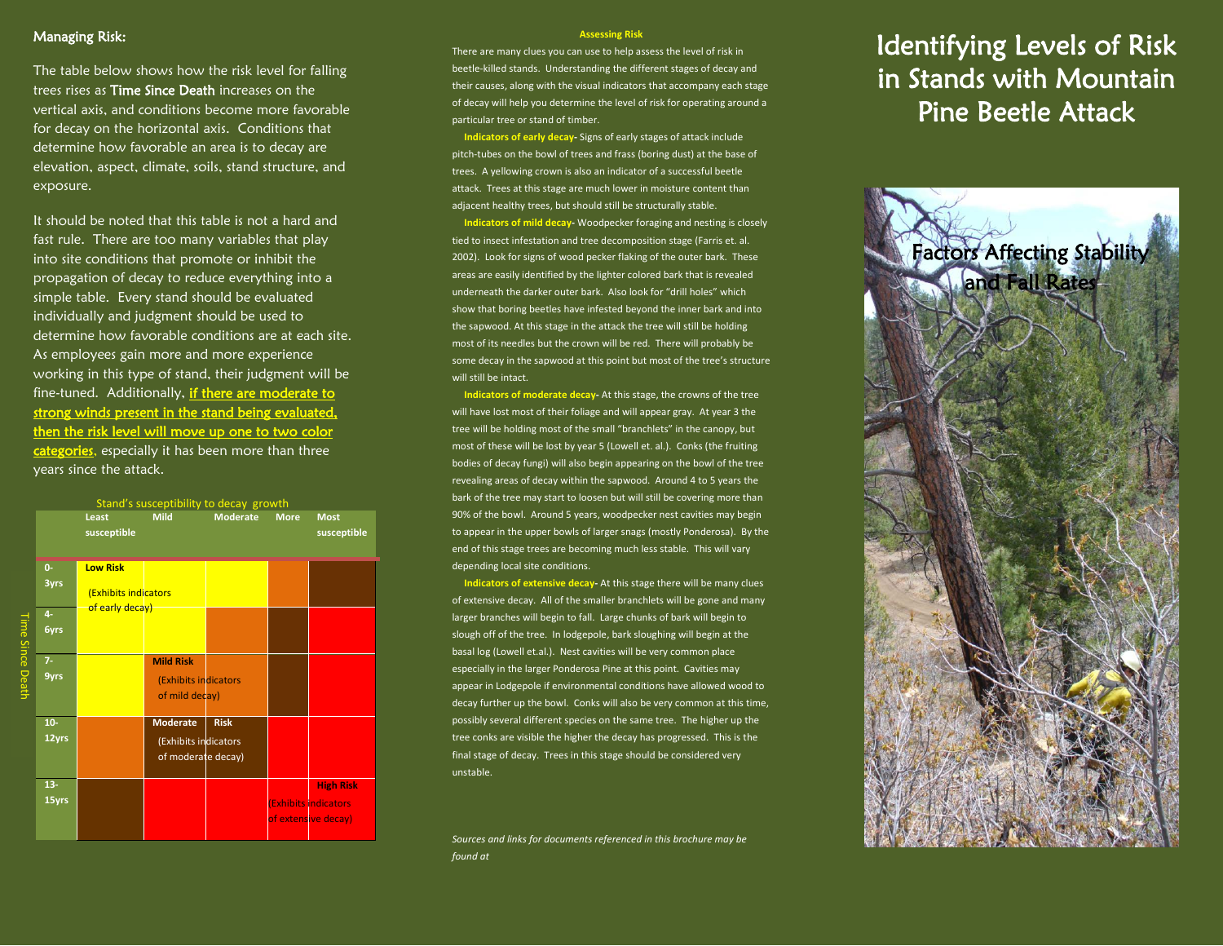## Managing Risk:

The table below shows how the risk level for falling trees rises as Time Since Death increases on the vertical axis, and conditions become more favorable for decay on the horizontal axis. Conditions that determine how favorable an area is to decay are elevation, aspect, climate, soils, stand structure, and exposure.

It should be noted that this table is not a hard and fast rule. There are too many variables that play into site conditions that promote or inhibit the propagation of decay to reduce everything into a simple table. Every stand should be evaluated individually and judgment should be used to determine how favorable conditions are at each site. As employees gain more and more experience working in this type of stand, their judgment will be fine-tuned. Additionally, if there are moderate to strong winds present in the stand being evaluated, then the risk level will move up one to two color categories, especially it has been more than three years since the attack.



#### **Assessing Risk**

There are many clues you can use to help assess the level of risk in beetle-killed stands. Understanding the different stages of decay and their causes, along with the visual indicators that accompany each stage of decay will help you determine the level of risk for operating around a particular tree or stand of timber.

 **Indicators of early decay-** Signs of early stages of attack include pitch-tubes on the bowl of trees and frass (boring dust) at the base of trees. A yellowing crown is also an indicator of a successful beetle attack. Trees at this stage are much lower in moisture content than adjacent healthy trees, but should still be structurally stable.

 **Indicators of mild decay-** Woodpecker foraging and nesting is closely tied to insect infestation and tree decomposition stage (Farris et. al. 2002). Look for signs of wood pecker flaking of the outer bark. These areas are easily identified by the lighter colored bark that is revealed underneath the darker outer bark. Also look for "drill holes" which show that boring beetles have infested beyond the inner bark and into the sapwood. At this stage in the attack the tree will still be holding most of its needles but the crown will be red. There will probably be some decay in the sapwood at this point but most of the tree's structure will still be intact.

 **Indicators of moderate decay-** At this stage, the crowns of the tree will have lost most of their foliage and will appear gray. At year 3 the tree will be holding most of the small "branchlets" in the canopy, but most of these will be lost by year 5 (Lowell et. al.). Conks (the fruiting bodies of decay fungi) will also begin appearing on the bowl of the tree revealing areas of decay within the sapwood. Around 4 to 5 years the bark of the tree may start to loosen but will still be covering more than 90% of the bowl. Around 5 years, woodpecker nest cavities may begin to appear in the upper bowls of larger snags (mostly Ponderosa). By the end of this stage trees are becoming much less stable. This will vary depending local site conditions.

 **Indicators of extensive decay-** At this stage there will be many clues of extensive decay. All of the smaller branchlets will be gone and many larger branches will begin to fall. Large chunks of bark will begin to slough off of the tree. In lodgepole, bark sloughing will begin at the basal log (Lowell et.al.). Nest cavities will be very common place especially in the larger Ponderosa Pine at this point. Cavities may appear in Lodgepole if environmental conditions have allowed wood to decay further up the bowl. Conks will also be very common at this time, possibly several different species on the same tree. The higher up the tree conks are visible the higher the decay has progressed. This is the final stage of decay. Trees in this stage should be considered very unstable.

*Sources and links for documents referenced in this brochure may be found at*

# Identifying Levels of Risk in Stands with Mountain Pine Beetle Attack